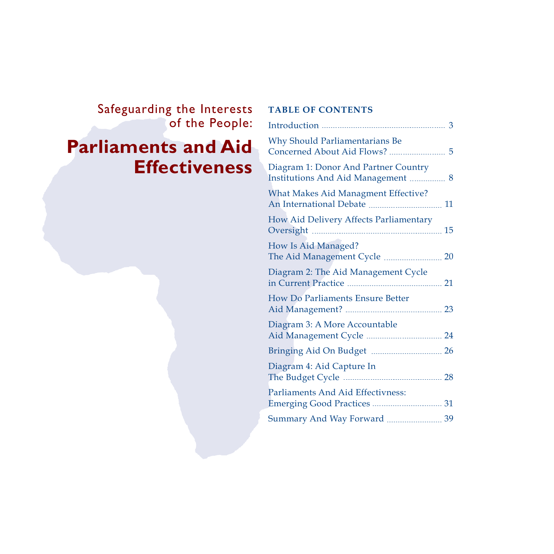# Safeguarding the Interests of the People:

# **Parliaments and Aid Effectiveness**

### **TABLE OF CONTENTS**

| Why Should Parliamentarians Be                                                    |    |
|-----------------------------------------------------------------------------------|----|
| Diagram 1: Donor And Partner Country<br><b>Institutions And Aid Management  8</b> |    |
| <b>What Makes Aid Managment Effective?</b>                                        | 11 |
| How Aid Delivery Affects Parliamentary                                            |    |
| How Is Aid Managed?                                                               |    |
| Diagram 2: The Aid Management Cycle                                               | 21 |
| How Do Parliaments Ensure Better                                                  |    |
| Diagram 3: A More Accountable                                                     |    |
|                                                                                   |    |
| Diagram 4: Aid Capture In                                                         |    |
| Parliaments And Aid Effectivness:                                                 |    |
| Summary And Way Forward  39                                                       |    |
|                                                                                   |    |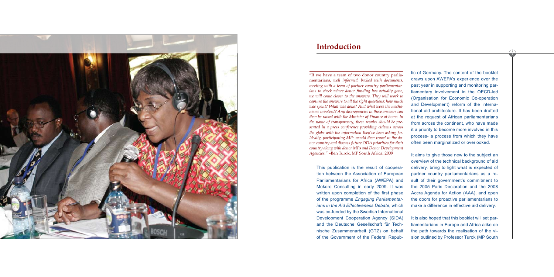This publication is the result of cooperation between the Association of European Parliamentarians for Africa (AWEPA) and Mokoro Consulting in early 2009. It was written upon completion of the first phase of the programme *Engaging Parliamentarians in the Aid Effectiveness Debate*, which was co-funded by the Swedish International Development Cooperation Agency (SIDA) and the Deutsche Gesellschaft für Technische Zusammenarbeit (GTZ) on behalf of the Government of the Federal Republic of Germany. The content of the booklet draws upon AWEPA's experience over the past year in supporting and monitoring parliamentary involvement in the OECD-led (Organisation for Economic Co-operation and Development) reform of the international aid architecture. It has been drafted at the request of African parliamentarians from across the continent, who have made it a priority to become more involved in this process- a process from which they have often been marginalized or overlooked.

It aims to give those new to the subject an overview of the technical background of aid delivery, bring to light what is expected of partner country parliamentarians as a result of their government's commitment to the 2005 Paris Declaration and the 2008 Accra Agenda for Action (AAA), and open the doors for proactive parliamentarians to

make a difference in effective aid delivery. It is also hoped that this booklet will set parliamentarians in Europe and Africa alike on the path towards the realisation of the vision outlined by Professor Turok (MP South



# **Introduction**

"If we have a team of two donor country parliamentarians, *well informed, backed with documents, meeting with a team of partner country parliamentarians to check where donor funding has actually gone, we will come closer to the answers. They will work to capture the answers to all the right questions: how much was spent? What was done? And what were the mechanisms involved? Any discrepancies in these answers can then be raised with the Minister of Finance at home. In the name of transparency, these results should be presented in a press conference providing citizens across the globe with the information they've been asking for. Ideally, participating MPs would then travel to the donor country and discuss future ODA priorities for their country along with donor MPs and Donor Development Agencies."* –Ben Turok, MP South Africa, 2009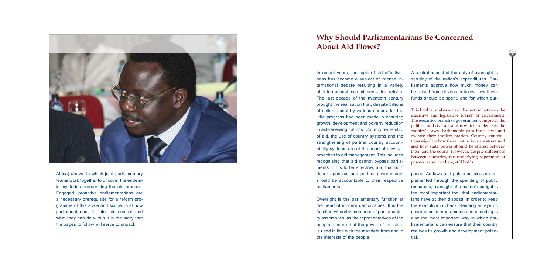

Africa) above, in which joint parliamentary teams work together to uncover the endem ic mysteries surrounding the aid process. Engaged, proactive parliamentarians are a necessary prerequisite for a reform pro gramme of this scale and scope. Just how parliamentarians fit into this context and what they can do within it is the story that the pages to follow will serve to unpack.

In recent years, the topic of aid effective ness has become a subject of intense in ternational debate resulting in a variety of international commitments for reform. The last decade of the twentieth century brought the realisation that, despite billions of dollars spent by various donors, far too little progress had been made in ensuring growth, development and poverty reduction in aid-receiving nations. Country ownership of aid, the use of country systems and the strengthening of partner country account ability systems are at the heart of new ap proaches to aid management. This includes recognising that aid cannot bypass parlia ments if it is to be effective, and that both donor agencies and partner governments should be accountable to their respective parliaments.

Oversight is the parliamentary function at the heart of modern democracies. It is the function whereby members of parliamenta ry assemblies, as the representatives of the people, ensure that the power of the state is used in line with the mandate from and in the interests of the people.

A central aspect of the duty of oversight is scrutiny of the nation's expenditures. Par liaments approve how much money can be raised from citizens in taxes, how these funds should be spent, and for which pur -

poses. As laws and public policies are im plemented through the spending of public resources, oversight of a nation's budget is the most important tool that parliamentar ians have at their disposal in order to keep the executive in check. Keeping an eye on government's programmes and spending is also the most important way in which par liamentarians can ensure that their country realises its growth and development poten -

tial.

# **Why Should Parliamentarians Be Concerned About Aid Flows?**

This booklet makes a clear distinction between the executive and legislative branch of government. The executive branch of government comprises the political and civil apparatus which implements the country's laws. Parliaments pass these laws and oversee their implementation. Country constitu tions stipulate how these institutions are structured and how state power should be shared between them and the courts. However, despite differences between countries, the underlying separation of powers, as set out here, still holds.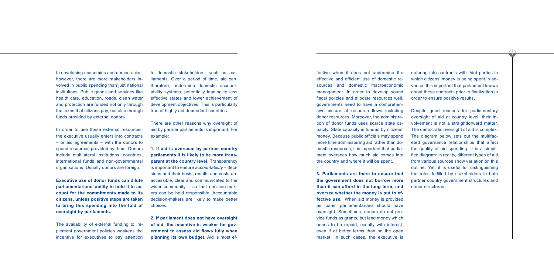fective when it does not undermine the effective and efficient use of domestic resources and domestic macroeconomic management. In order to develop sound fiscal policies and allocate resources well, governments need to have a comprehensive picture of resource flows including donor resources. Moreover, the administration of donor funds uses scarce state capacity. State capacity is funded by citizens' money. Because public officials may spend more time administering aid rather than domestic resources, it is important that parliament oversees how much aid comes into the country and where it will be spent.

**3. Parliaments are there to ensure that the government does not borrow more than it can afford in the long term, and oversee whether the money is put to effective use.** When aid money is provided as loans, parliamentarians should have oversight. Sometimes, donors do not provide funds as grants, but lend money which needs to be repaid, usually with interest, even if at better terms than on the open market. In such cases, the executive is

Despite good reasons for parliamentary oversight of aid at country level, their involvement is not a straightforward matter. The democratic oversight of aid is complex. The diagram below sets out the multifaceted governance relationships that affect the quality of aid spending. It is a simplified diagram: in reality, different types of aid from various sources show variation on this outline. Yet, it is useful for distinguishing the roles fulfilled by stakeholders in both partner country government structures and donor structures.

entering into contracts with third parties in which citizens' money is being spent in advance. It is important that parliament knows about these contracts prior to finalization in order to ensure positive results.

In developing economies and democracies, however, there are more stakeholders involved in public spending than just national institutions. Public goods and services like health care, education, roads, clean water and protection are funded not only through the taxes that citizens pay, but also through funds provided by external donors.

In order to use these external resources, the executive usually enters into contracts – or aid agreements – with the donors to spend resources provided by them. Donors include multilateral institutions, countries, international funds and non-governmental organisations. Usually donors are foreign.

**Executive use of donor funds can dilute parliamentarians' ability to hold it to account for the commitments made to its citizens, unless positive steps are taken to bring this spending into the fold of oversight by parliaments.** 

The availability of external funding to implement government policies weakens the incentive for executives to pay attention to domestic stakeholders, such as parliaments. Over a period of time, aid can, therefore, undermine domestic accountability systems, potentially leading to less effective states and lower achievement of development objectives. This is particularly true of highly aid dependent countries.

There are other reasons why oversight of aid by partner parliaments is important. For example:

**1. If aid is overseen by partner country parliaments it is likely to be more transparent at the country level.** Transparency is important to ensure *accountability* – decisions and their basis, results and costs are accessible, clear and communicated to the wider community – so that decision-makers can be held responsible. Accountable decision-makers are likely to make better choices.

**2. If parliament does not have oversight of aid, the incentive is weaker for government to assess aid flows fully when planning its own budget.** Aid is most ef-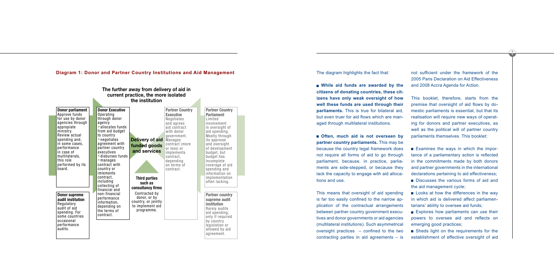The diagram highlights the fact that:

**While aid funds are awarded by the citizens of donating countries, these cit izens have only weak oversight of how well these funds are used through their parliaments.** This is true for bilateral aid, but even truer for aid flows which are man aged through multilateral institutions.

**n** Often, much aid is not overseen by **partner country parliaments.** This may be because the country legal framework does not require all forms of aid to go through parliament, because, in practice, parlia ments are side-stepped, or because they lack the capacity to engage with aid alloca tions and use.

This means that oversight of aid spending is far too easily confined to the narrow ap plication of the contractual arrangements between partner country government execu tives and donor governments or aid agencies (multilateral institutions). Such asymmetrical oversight practices – confined to the two contracting parties in aid agreements – is Looks at how the differences in the way in which aid is delivered affect parliamen tarians' ability to oversee aid funds;

Explores how parliaments can use their powers to oversee aid and reflects on emerging good practices;

■ Sheds light on the requirements for the establishment of effective oversight of aid

not sufficient under the framework of the 2005 Paris Declaration on Aid Effectiveness and 2008 Accra Agenda for Action.

This booklet, therefore, starts from the premise that oversight of aid flows by do mestic parliaments is essential, but that its realisation will require new ways of operat ing for donors and partner executives, as well as the political will of partner country parliaments themselves. This booklet:

Examines the ways in which the impor tance of a parliamentary action is reflected in the commitments made by both donors and partner governments in the international declarations pertaining to aid effectiveness; Discusses the various forms of aid and the aid management cycle;



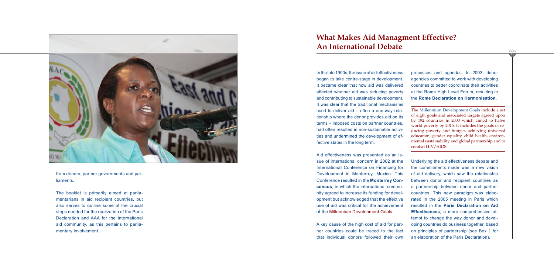

from donors, partner governments and par liaments.

The booklet is primarily aimed at parlia mentarians in aid recipient countries, but also serves to outline some of the crucial steps needed for the realization of the Paris Declaration and AAA for the international aid community, as this pertains to parlia mentary involvement.

In the late 1990s, the issue of aid effectiveness began to take centre-stage in development. It became clear that how aid was delivered affected whether aid was reducing poverty and contributing to sustainable development. It was clear that the traditional mechanisms used to deliver aid – often a one-way rela tionship where the donor provides aid on its terms – imposed costs on partner countries, had often resulted in non-sustainable activi ties and undermined the development of ef fective states in the long term.

Aid effectiveness was presented as an is sue of international concern in 2002 at the International Conference on Financing for Development in Monterrey, Mexico. This Conference resulted in the **Monterrey Con sensus**, in which the international commu nity agreed to increase its funding for devel opment but acknowledged that the effective use of aid was critical for the achievement of the Millennium Development Goals.

A key cause of the high cost of aid for part ner countries could be traced to the fact that individual donors followed their own

processes and agendas. In 2003, donor agencies committed to work with developing countries to better coordinate their activities at the Rome High Level Forum, resulting in the **Rome Declaration on Harmonisation.** 

a partnership between donor and partner countries. This new paradigm was elabo rated in the 2005 meeting in Paris which resulted in the **Paris Declaration on Aid Effectiveness**, a more comprehensive at tempt to change the way donor and devel oping countries do business together, based on principles of partnership (see Box 1 for an elaboration of the Paris Declaration).

Underlying the aid effectiveness debate and the commitments made was a new vision of aid delivery, which saw the relationship between donor and recipient countries as The Millennium Development Goals include a set of eight goals and associated targets agreed upon by 192 countries in 2000 which aimed to halve world poverty by 2015. It includes the goals of re ducing poverty and hunger, achieving universal education, gender equality, child health, environ mental sustainability and global partnership and to combat HIV/AIDS.

# **What Makes Aid Managment Effective? An International Debate**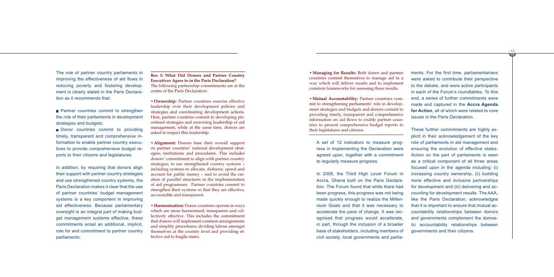$\sqrt{12}$ 

A set of 12 indicators to measure prog ress in implementing the Declaration were agreed upon, together with a commitment to regularly measure progress.

In 2008, the Third High Level Forum in Accra, Ghana built on the Paris Declara tion. The Forum found that while there had been progress, this progress was not being made quickly enough to realize the Millen nium Goals and that it was necessary to accelerate the pace of change. It was rec ognised that progress would accellerate, in part, through the inclusion of a broader base of stakeholders, including members of civil society, local governments and parlia -

ments. For the first time, parliamentarians were asked to contribute their perspective to the debate, and were active participants in each of the Forum's roundtables. To this end, a series of further commitments were made and captured in the **Accra Agenda for Action**, all of which were related to core issues in the Paris Declaration. These further commitments are highly ex plicit in their acknowledgement of the key

- **Partner countries commit to strengthen** the role of their parliaments in development strategies and budgets;
- Donor countries commit to providing timely, transparent and comprehensive in formation to enable partner country execu tives to provide comprehensive budget re ports to their citizens and legislatures.

role of parliaments in aid management and ensuring the evolution of effective states. Action on the part of parliaments is seen as a critical component of all three areas focused upon in the agenda including: (i) increasing country ownership, (ii) building more effective and inclusive partnerships for development and (iii) delivering and ac counting for development results. The AAA, like the Paris Declaration, acknowledges that it is important to ensure that mutual ac countability relationships between donors and governments complement the domes tic accountability relationships between governments and their citizens.

The role of partner country parliaments in improving the effectiveness of aid flows in reducing poverty and fostering develop ment is clearly stated in the Paris Declara tion as it recommends that:

In addition, by requiring that donors align their support with partner country strategies and use strengthened country systems, the Paris Declaration makes it clear that the use of partner countries' budget management systems is a key component in improving aid effectiveness. Because parliamentary oversight is an integral part of making bud get management systems effective, these commitments entail an additional, implicit, role for and commitment to partner country parliaments.

**Box 1: What Did Donors and Partner Country Executives Agree to in the Paris Declaration?** The following partnership commitments are at the centre of the Paris Declaration:

- **Ownership:** Partner countries exercise effective leadership over their development policies and strategies and coordinating development actions. Here, partner countries commit to developing pri oritised strategies and exercising leadership of aid management, while at the same time, donors are asked to respect this leadership.
- • **Alignment:** Donors base their overall support on partner countries' national development strat egies, institutions and procedures. This includes donors' commitment to align with partner country strategies, to use strengthened country systems – including systems to allocate, disburse, spend and account for public money – and to avoid the cre ation of parallel structures in the implementation of aid programmes. Partner countries commit to strengthen their systems so that they are effective, accountable and transparent.
- • **Harmonisation:** Donor countries operate in ways which are more harmonised, transparent and collectively effective. This includes the commitment that donors will implement common arrangements and simplify procedures; dividing labour amongst themselves at the country level and providing ef fective aid to fragile states.

• **Managing for Results:** Both donor and partner countries commit themselves to manage aid in a way which will deliver results and to implement common frameworks for assessing these results.

• **Mutual Accountability:** Partner countries com mit to strengthening parliaments' role in develop ment strategies and budgets and donors commit to providing timely, transparent and comprehensive information on aid flows to enable partner coun tries to present comprehensive budget reports to their legislatures and citizens.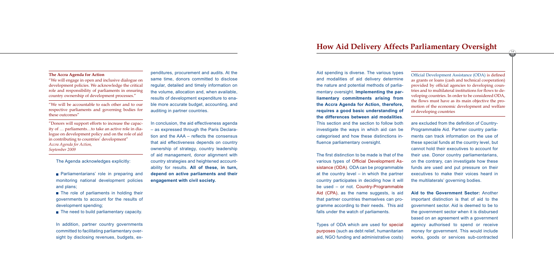The Agenda acknowledges explicitly:

**Parliamentarians' role in preparing and** monitoring national development policies and plans;

The role of parliaments in holding their governments to account for the results of development spending;

 $\blacksquare$  The need to build parliamentary capacity.

In addition, partner country governments committed to facilitating parliamentary oversight by disclosing revenues, budgets, expenditures, procurement and audits. At the same time, donors committed to disclose regular, detailed and timely information on the volume, allocation and, when available, results of development expenditure to enable more accurate budget, accounting, and auditing in partner countries.

In conclusion, the aid effectiveness agenda – as expressed through the Paris Declaration and the AAA – reflects the consensus that aid effectiveness depends on country ownership of strategy, country leadership of aid management, donor alignment with country strategies and heightened accountability for results. **All of these, in turn, depend on active parliaments and their engagement with civil society.**

**The Accra Agenda for Action**

"We will engage in open and inclusive dialogue on development policies. We acknowledge the critical role and responsibility of parliaments in ensuring country ownership of development processes."

"We will be accountable to each other and to our respective parliaments and governing bodies for these outcomes"

"Donors will support efforts to increase the capacity of … parliaments…to take an active role in dialogue on development policy and on the role of aid in contributing to countries' development" *Accra Agenda for Action, September 2009*

Aid spending is diverse. The various types and modalities of aid delivery determine the nature and potential methods of parliamentary oversight. **Implementing the parliamentary commitments arising from the Accra Agenda for Action, therefore, requires a good basic understanding of the differences between aid modalities**. This section and the section to follow both investigate the ways in which aid can be categorised and how these distinctions in-

fluence parliamentary oversight.

The first distinction to be made is that of the various types of Official Development Assistance (ODA). ODA can be programmable at the country level – in which the partner country participates in deciding how it will be used – or not. Country-Programmable Aid (CPA), as the name suggests, is aid that partner countries themselves can programme according to their needs. This aid falls under the watch of parliaments.

Types of ODA which are used for special purposes (such as debt relief, humanitarian aid, NGO funding and administrative costs) are excluded from the definition of Country-Programmable Aid. Partner country parliaments can track information on the use of these special funds at the country level, but cannot hold their executives to account for their use. Donor country parliamentarians, on the contrary, can investigate how these funds are used and put pressure on their executives to make their voices heard in the multilaterals' governing bodies. **Aid to the Government Sector:** Another important distinction is that of aid to the government sector. Aid is deemed to be to motion of the economic development and welfare of developing countries

the government sector when it is disbursed based on an agreement with a government agency authorised to spend or receive money for government. This would include works, goods or services sub-contracted

# **How Aid Delivery Affects Parliamentary Oversight**

Official Development Assistance (ODA) is defined as grants or loans (cash and technical cooperation) provided by official agencies to developing countries and to multilateral institutions for flows to developing countries. In order to be considered ODA, the flows must have as its main objective the pro-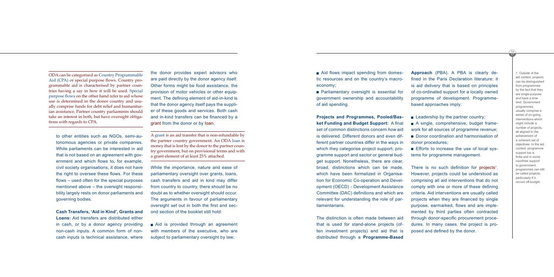$\sqrt{16}$ 

Aid flows impact spending from domes tic resources and on the country's macroeconomy;

**Parliamentary oversight is essential for** government ownership and accountability of aid spending.

**Projects and Programmes, Pooled/Bas ket Funding and Budget Support:** A final set of common distinctions concern *how* aid is delivered. Different donors and even dif ferent partner countries differ in the ways in which they categorise project support, pro gramme support and sector or general bud get support. Nonetheless, there are clear, broad, distinctions which can be made, which have been formalized in Organisa tion for Economic Co-operation and Devel opment (OECD) - Development Assistance Committee (DAC) definitions and which are relevant for understanding the role of par liamentarians.

 $\blacksquare$  Leadership by the partner country; A single, comprehensive, budget frame work for all sources of programme revenue; Donor coordination and harmonisation of donor procedures;

The distinction is often made between aid that is used for stand-alone projects (of ten investment projects) and aid that is distributed through a **Programme-Based** 

**Approach** (PBA). A PBA is clearly de fined in the Paris Declaration literature: it is aid delivery that is based on principles of co-ordinated support for a locally owned programme of development. Programmebased approaches imply:

Efforts to increase the use of local sys tems for programme management.

There is no such definition for projects 1. However, projects could be understood as comprising all aid interventions that do not comply with one or more of these defining criteria. Aid interventions are usually called projects when they are financed by single purpose, earmarked, flows and are imple mented by third parties often contracted through donor-specific procurement proce dures. In many cases, the project is pro posed and defined by the donor.

Aid is provided through an agreement with members of the executive, who are subject to parliamentary oversight by law;

to other entities such as NGOs, semi-au tonomous agencies or private companies. While parliaments can be interested in aid that is not based on an agreement with gov ernment and which flows to, for example, civil society organisations, it does not have the right to oversee these flows. For these flows – used often for the special purposes mentioned above – the oversight responsi bility largely rests on donor parliaments and governing bodies.

**Cash Transfers, 'Aid in Kind', Grants and Loans:** Aid transfers are distributed either in cash, or by a donor agency providing non-cash inputs. A common form of noncash inputs is technical assistance, where the donor provides expert advisors who are paid directly by the donor agency itself. Other forms might be food assistance, the provision of motor vehicles or other equip ment. The defining element of aid-in-kind is that the donor agency itself pays the suppli er of these goods and services. Both cash and in-kind transfers can be financed by a grant from the donor or by loan.

While the importance, nature and ease of parliamentary oversight over grants, loans, cash transfers and aid in kind may differ from country to country, there should be no doubt as to whether oversight should occur. The arguments in favour of parliamentary oversight set out in both the first and sec ond section of the booklet still hold:

1 Outside of the aid context, projects can be distinguished from programmes by the fact that they are single-purpose and have a time limit. Government programmes usually comprise a series of on-going interventions which might include a number of projects, all aligned to the achievement of a coherent set of objectives. In the aid context, programme support too is finite and in some countries support to government programmes can still be called projects, particularly if it occurs off-budget.

ODA can be categorised as Country Programmable Aid (CPA) or special purpose flows. Country pro grammable aid is characterised by partner coun tries having a say in how it will be used. Special purpose flows on the other hand refer to aid whose use is determined in the donor country and usu ally comprise funds for debt relief and humanitar ian assistance. Partner country parliaments should take an interest in both, but have oversight obliga tions with regards to CPA.

> A grant is an aid transfer that is non-refundable by the partner country government. An ODA loan is money that is lent by the donor to the partner coun try government, but on provisional terms and with a grant element of at least 25% attached.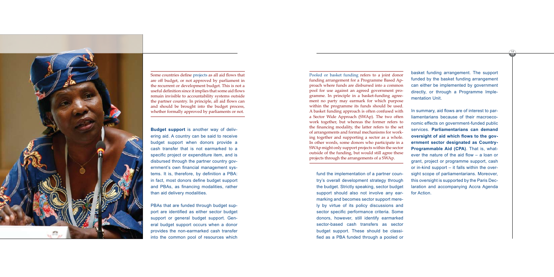fund the implementation of a partner country's overall development strategy through the budget. Strictly speaking, sector budget support should also not involve any earmarking and becomes sector support merely by virtue of its policy discussions and sector specific performance criteria. Some donors, however, still identify earmarked sector-based cash transfers as sector budget support. These should be classified as a PBA funded through a pooled or

basket funding arrangement. The support funded by the basket funding arrangement can either be implemented by government directly, or through a Programme Implementation Unit.

In summary, aid flows are of interest to parliamentarians because of their macroeconomic effects on government-funded public services. **Parliamentarians can demand oversight of aid which flows to the government sector designated as Country-Programmable Aid (CPA)**. That is, whatever the nature of the aid flow – a loan or grant, project or programme support, cash or in-kind support – it falls within the oversight scope of parliamentarians. Moreover, this oversight is supported by the Paris Declaration and accompanying Accra Agenda for Action.

**Budget support** is another way of delivering aid. A country can be said to receive budget support when donors provide a cash transfer that is not earmarked to a specific project or expenditure item, and is disbursed through the partner country government's own financial management systems. It is, therefore, by definition a PBA: in fact, most donors define budget support and PBAs, as financing modalities, rather than aid delivery modalities.

PBAs that are funded through budget support are identified as either sector budget support or general budget support. General budget support occurs when a donor provides the non-earmarked cash transfer into the common pool of resources which



Some countries define projects as all aid flows that are off budget, or not approved by parliament in the recurrent or development budget. This is not a useful definition since it implies that some aid flows remain invisible to accountability systems outside the partner country. In principle, all aid flows can and should be brought into the budget process, whether formally approved by parliaments or not.

Pooled or basket funding refers to a joint donor funding arrangement for a Programme Based Approach where funds are disbursed into a common pool for use against an agreed government programme. In principle in a basket-funding agreement no party may earmark for which purpose within the programme its funds should be used. A basket funding approach is often confused with a Sector Wide Approach (SWAp). The two often work together, but whereas the former refers to the financing modality, the latter refers to the set of arrangements and formal mechanisms for working together and supporting a sector as a whole. In other words, some donors who participate in a SWAp might only support projects within the sector outside of the funding, but would still agree these projects through the arrangements of a SWAp.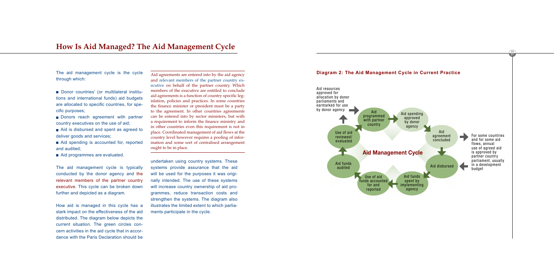The aid management cycle is the cycle through which:

- Donor countries' (or multilateral institutions and international funds) aid budgets are allocated to specific countries, for specific purposes;
- Donors reach agreement with partner country executives on the use of aid;
- Aid is disbursed and spent as agreed to deliver goods and services;
- Aid spending is accounted for, reported and audited;
- **Aid programmes are evaluated.**

The aid management cycle is typically conducted by the donor agency and the relevant members of the partner country executive. This cycle can be broken down further and depicted as a diagram.

How aid is managed in this cycle has a stark impact on the effectiveness of the aid distributed. The diagram below depicts the current situation. The green circles concern activities in the aid cycle that in accordance with the Paris Declaration should be undertaken using country systems. These systems provide assurance that the aid will be used for the purposes it was originally intended. The use of these systems will increase country ownership of aid programmes, reduce transaction costs and strengthen the systems. The diagram also illustrates the limited extent to which parliaments participate in the cycle.

# **How Is Aid Managed? The Aid Management Cycle**



Aid agreements are entered into by the aid agency and relevant members of the partner country executive on behalf of the partner country. Which members of the executive are entitled to conclude aid agreements is a function of country specific legislation, policies and practices. In some countries the finance minister or president must be a party to the agreement. In other countries agreements can be entered into by sector ministers, but with a requirement to inform the finance ministry and in other countries even this requirement is not in place. Coordinated management of aid flows at the country level however requires a pooling of information and some sort of centralised arrangement ought to be in place.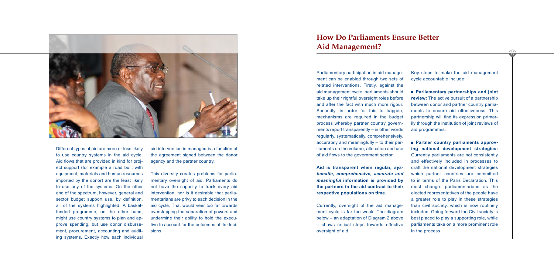

Different types of aid are more or less likely to use country systems in the aid cycle. Aid flows that are provided in kind for project support (for example a road built with equipment, materials and human resources imported by the donor) are the least likely to use any of the systems. On the other end of the spectrum, however, general and sector budget support use, by definition, all of the systems highlighted. A basketfunded programme, on the other hand, might use country systems to plan and approve spending, but use donor disbursement, procurement, accounting and auditing systems. Exactly how each individual

aid intervention is managed is a function of the agreement signed between the donor agency and the partner country.

This diversity creates problems for parliamentary oversight of aid. Parliaments do not have the capacity to track every aid intervention, nor is it desirable that parliamentarians are privy to each decision in the aid cycle. That would veer too far towards overstepping the separation of powers and undermine their ability to hold the executive to account for the outcomes of its decisions.

Parliamentary participation in aid management can be enabled through two sets of related interventions. Firstly, against the aid management cycle, parliaments should take up their rightful oversight roles before and after the fact with much more rigour. Secondly, in order for this to happen, mechanisms are required in the budget process whereby partner country governments report transparently – in other words regularly, systematically, comprehensively, accurately and meaningfully – to their parliaments on the volume, allocation and use of aid flows to the government sector.

# **How Do Parliaments Ensure Better**  Aid Management?

**Aid is transparent when regular,** *systematic, comprehensive, accurate and meaningful* **information is provided by the partners in the aid contract to their respective populations on time.**

Currently, oversight of the aid management cycle is far too weak. The diagram below – an adaptation of Diagram 2 above – shows critical steps towards effective oversight of aid.

Key steps to make the aid management cycle accountable include:

**Parliamentary partnerships and joint review:** The active pursuit of a partnership between donor and partner country parliaments to ensure aid effectiveness. This partnership will find its expression primarily through the institution of joint reviews of aid programmes.

**Partner country parliaments approving national development strategies:** Currently parliaments are not consistently and effectively included in processes to draft the national development strategies which partner countries are committed to in terms of the Paris Declaration. This must change: parliamentarians as the elected representatives of the people have a greater role to play in these strategies than civil society, which is now routinely included. Going forward the Civil society is best placed to play a supporting role, while parliaments take on a more prominent role in the process.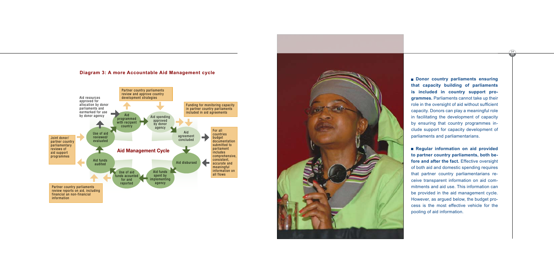$\sqrt{24}$ 

**Donor country parliaments ensuring that capacity building of parliaments is included in country support pro grammes.** Parliaments cannot take up their role in the oversight of aid without sufficient capacity. Donors can play a meaningful role in facilitating the development of capacity by ensuring that country programmes in clude support for capacity development of parliaments and parliamentarians. **Regular information on aid provided** 

**to partner country parliaments, both be fore and after the fact.** Effective oversight of both aid and domestic spending requires that partner country parliamentarians re ceive transparent information on aid com mitments and aid use. This information can be provided in the aid management cycle. However, as argued below, the budget pro cess is the most effective vehicle for the pooling of aid information.

### **Diagram 3: A more Accountable Aid Management cycle**



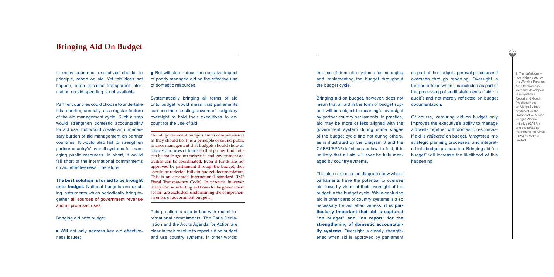the use of domestic systems for managing and implementing the budget throughout the budget cycle.

Bringing aid on budget, however, does not mean that all aid in the form of budget support will be subject to meaningful oversight by partner country parliaments. In practice, aid may be more or less aligned with the government system during some stages of the budget cycle and not during others, as is illustrated by the Diagram 3 and the CABRI/SPA2 definitions below. In fact, it is unlikely that all aid will ever be fully managed by country systems.

The blue circles in the diagram show where parliaments have the potential to oversee aid flows by virtue of their oversight of the budget in the budget cycle. While capturing aid in other parts of country systems is also necessary for aid effectiveness, **it is particularly important that aid is captured "on budget" and "on report" for the strengthening of domestic accountability systems**. Oversight is clearly strengthened when aid is approved by parliament

as part of the budget approval process and overseen through reporting. Oversight is further fortified when it is included as part of the processing of audit statements ("aid on audit") and not merely reflected on budget documentation.

Will not only address key aid effectiveness issues;

 $\blacksquare$  But will also reduce the negative impact of poorly managed aid on the effective use of domestic resources.

> Of course, capturing aid on budget only improves the executive's ability to manage aid well- together with domestic resourcesif aid is *reflected* on budget, *integrated* into strategic planning processes, and integrated into budget preparation. Bringing aid "on budget" will increase the likelihood of this happening.

In many countries, executives should, in principle, report on aid. Yet this does not happen, often because transparent information on aid spending is not available.

Partner countries could choose to undertake this reporting annually, as a regular feature of the aid management cycle. Such a step would strengthen domestic accountability for aid use, but would create an unnecessary burden of aid management on partner countries. It would also fail to strengthen partner country's' overall systems for managing public resources. In short, it would fall short of the international commitments on aid effectiveness. Therefore:

**The best solution is for aid to be brought onto budget.** National budgets are existing instruments which periodically bring together all sources of government revenue and all proposed uses.

Bringing aid onto budget:

Systematically bringing all forms of aid onto budget would mean that parliaments can use their existing powers of budgetary oversight to hold their executives to account for the use of aid.

This practice is also in line with recent international commitments. The Paris Declaration and the Accra Agenda for Action are clear in their resolve to report aid on budget and use country systems, in other words:

# **Bringing Aid On Budget**

Not all government budgets are as comprehensive as they should be. It is a principle of sound public finance management that budgets should show all sources and uses of funds so that proper trade-offs can be made against priorities and government activities can be coordinated. Even if funds are not approved by parliament through the budget, they should be reflected fully in budget documentation. This is an accepted international standard (IMF Fiscal Transparency Code). In practice, however, many flows- including aid flows to the government sector- are excluded, undermining the comprehensiveness of government budgets.

2 The definitions – now widely used by the Working Party on Aid Effectiveness – were first developed in a Synthesis Report and Good Practices Note on Aid on Budget produced for the Collaborative African Budget Reform Initiative (CABRI) and the Strategic Partnership for Africa (SPA) by Mokoro Limited.

 $rac{26}{27}$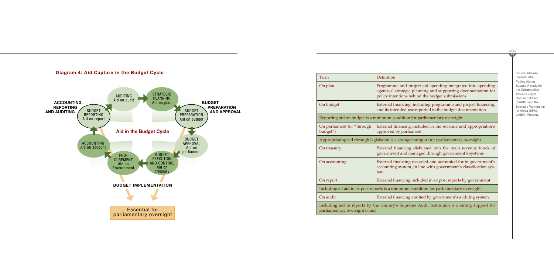| Term                                                                                  | Definition                                                                     |  |
|---------------------------------------------------------------------------------------|--------------------------------------------------------------------------------|--|
| On plan                                                                               | Programme and project<br>agencies' strategic planr<br>policy intentions behind |  |
| On budget                                                                             | External financing, inclu<br>and its intended use rep                          |  |
| Reporting aid on budget is a minimum condition for pa                                 |                                                                                |  |
| On parliament (or "through<br>budget")                                                | External financing inclu<br>approved by parliament                             |  |
| Appropriating aid through legislation is a stronger sup                               |                                                                                |  |
| On treasury                                                                           | External financing disb<br>government and manage                               |  |
| On accounting                                                                         | <b>External financing recor</b><br>accounting system, in li<br>tem             |  |
| On report                                                                             | External financing inclue                                                      |  |
| Including all aid in ex post reports is a minimum condi                               |                                                                                |  |
| On audit                                                                              | External financing audit                                                       |  |
| Including aid in reports by the country's Supreme A<br>parliamentary oversight of aid |                                                                                |  |

### equal plane project aid spending integrated into spending lanning and supporting documentation for ind the budget submissions

ncluding programme and project financing, reported in the budget documentation

r parliamentary oversight

ncluded in the revenue and appropriations

support for parliamentary oversight

disbursed into the main revenue funds of naged through government's systems

ecorded and accounted for in government's n line with government's classification sys-

on report External financients by government

ndition for parliamentary oversight

adited by government's auditing system.

Institution is a strong support for  $\mathbf{A}$ 



Source: Mokoro Limited, 2008. Putting Aid on Budget: A study for the Collaborative African Budget Reform Initiative (CABRI) and the Strategic Partnership for Africa (SPA), CABRI, Pretoria.

 $29$ 

 $\sqrt{28}$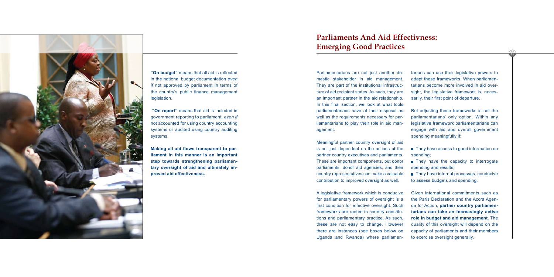![](_page_15_Picture_0.jpeg)

**"On budget"** means that all aid is reflected in the national budget documentation *even if* not approved by parliament in terms of the country's public finance management legislation.

 **"On report"** means that aid is included in government reporting to parliament, *even if* not accounted for using country accounting systems or audited using country auditing systems.

**Making all aid flows transparent to parliament in this manner is an important step towards strengthening parliamentary oversight of aid and ultimately improved aid effectiveness.**

Parliamentarians are not just another domestic stakeholder in aid management. They are part of the institutional infrastructure of aid recipient states. As such, they are an important partner in the aid relationship. In this final section, we look at what tools parliamentarians have at their disposal as well as the requirements necessary for parliamentarians to play their role in aid management.

- They have access to good information on spending;
- They have the capacity to interrogate spending and results;
- They have internal processes, conducive to assess budgets and spending.

Meaningful partner country oversight of aid is not just dependent on the actions of the partner country executives and parliaments. These are important components, but donor parliaments, donor aid agencies, and their country representatives can make a valuable contribution to improved oversight as well.

# **Parliaments And Aid Effectivness: Emerging Good Practices**

A legislative framework which is conducive for parliamentary powers of oversight is a first condition for effective oversight. Such frameworks are rooted in country constitutions and parliamentary practice. As such, these are not easy to change. However there are instances (see boxes below on Uganda and Rwanda) where parliamen-

tarians can use their legislative powers to adapt these frameworks. When parliamentarians become more involved in aid oversight, the legislative framework is, necessarily, their first point of departure.

But adjusting these frameworks is not the parliamentarians' only option. Within any legislative framework parliamentarians can engage with aid and overall government spending meaningfully if:

Given international commitments such as the Paris Declaration and the Accra Agenda for Action, **partner country parliamentarians can take an increasingly active role in budget and aid management**. The quality of this oversight will depend on the capacity of parliaments and their members to exercise oversight generally.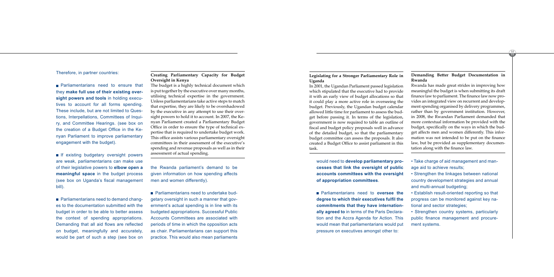would need to **develop parliamentary processes that link the oversight of public accounts committees with the oversight of appropriation committees**.

Parliamentarians need to **oversee the degree to which their executives fulfil the commitments that they have internationally agreed to** in terms of the Paris Declaration and the Accra Agenda for Action. This would mean that parliamentarians would put pressure on executives amongst other to:

**Parliamentarians need to ensure that** they **make full use of their existing oversight powers and tools** in holding executives to account for all forms spending. These include, but are not limited to Questions, Interpellations, Committees of Inquiry, and Committee Hearings. (see box on the creation of a Budget Office in the Kenyan Parliament to improve parliamentary engagement with the budget).

- Take charge of aid management and manage aid to achieve results;
- Strengthen the linkages between national country development strategies and annual and multi-annual budgeting;
- Establish result-oriented reporting so that progress can be monitored against key national and sector strategies;
- Strengthen country systems, particularly public finance management and procurement systems.

**If existing budgetary oversight powers** are weak, parliamentarians can make use of their legislative powers to **elbow open a meaningful space** in the budget process (see box on Uganda's fiscal management bill).

### Therefore, in partner countries:

**Parliamentarians need to demand chang**es to the documentation submitted with the budget in order to be able to better assess the context of spending appropriations. Demanding that all aid flows are reflected on budget, meaningfully and accurately, would be part of such a step (see box on **Parliamentarians need to undertake bud**getary oversight in such a manner that government's actual spending is in line with its budgeted appropriations. Successful Public Accounts Committees are associated with periods of time in which the opposition acts as chair. Parliamentarians can support this practice. This would also mean parliaments

the Rwanda parliament's demand to be given information on how spending affects men and women differently).

33 32

### **Creating Parliamentary Capacity for Budget Oversight in Kenya**

The budget is a highly technical document which is put together by the executive over many months, utilising technical expertise in the government. Unless parliamentarians take active steps to match that expertise, they are likely to be overshadowed by the executive in any attempt to use their oversight powers to hold it to account. In 2007, the Kenyan Parliament created a Parliamentary Budget Office in order to ensure the type of technical expertise that is required to undertake budget work. This office assists various parliamentary oversight committees in their assessment of the executive's spending and revenue proposals as well as in their assessment of actual spending.

### **Legislating for a Stronger Parliamentary Role in Uganda**

In 2001, the Ugandan Parliament passed legislation which stipulated that the executive had to provide it with an early view of budget allocations so that it could play a more active role in overseeing the budget. Previously, the Ugandan budget calendar allowed little time for parliament to assess the budget before passing it. In terms of the legislation, government is now required to table an outline of fiscal and budget policy proposals well in advance of the detailed budget, so that the parliamentary budget committee can assess the proposals. It also created a Budget Office to assist parliament in this task.

### **Demanding Better Budget Documentation in Rwanda**

Rwanda has made great strides in improving how meaningful the budget is when submitting its draft finance law to parliament. The finance law now provides an integrated view on recurrent and development spending organised by delivery programmes, rather than by government institution. However, in 2008, the Rwandan Parliament demanded that more contextual information be provided with the budget, specifically on the ways in which the budget affects men and women differently. This information was not intended to be put on the finance law, but be provided as supplementary documentation along with the finance law.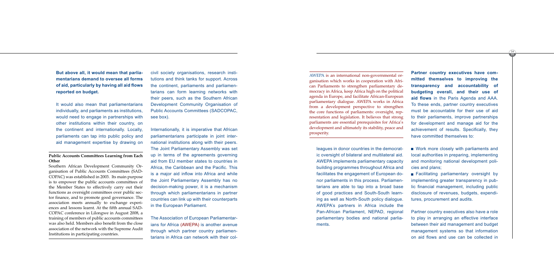leagues in donor countries in the democrat ic oversight of bilateral and multilateral aid. AWEPA implements parliamentary capacity building programmes throughout Africa and facilitates the engagement of European do nor parliaments in this process. Parliamen tarians are able to tap into a broad base of good practices and South-South learn ing as well as North-South policy dialogue. AWEPA's partners in Africa include the Pan-African Parliament, NEPAD, regional parliamentary bodies and national parlia ments.

Work more closely with parliaments and local authorities in preparing, implementing and monitoring national development poli cies and plans;

Facilitating parliamentary oversight by implementing greater transparency in pub lic financial management, including public disclosure of revenues, budgets, expendi tures, procurement and audits.

**Partner country executives have com mitted themselves to improving the transparency and accountability of budgeting overall, and their use of aid flows** in the Paris Agenda and AAA. To these ends, partner country executives must be accountable for their use of aid to their parliaments, improve partnerships for development and manage aid for the achievement of results. Specifically, they have committed themselves to:

Partner country executives also have a role to play in arranging an effective interface between their aid management and budget management systems so that information on aid flows and use can be collected in

**But above all, it would mean that parlia mentarians demand to oversee all forms of aid, particularly by having all aid flows reported on budget.** 

It would also mean that parliamentarians individually, and parliaments as institutions, would need to engage in partnerships with other institutions within their country, on the continent and internationally. Locally, parliaments can tap into public policy and aid management expertise by drawing on

civil society organisations, research insti tutions and think tanks for support. Across the continent, parliaments and parliamen tarians can form learning networks with their peers, such as the Southern African Development Community Organisation of Public Accounts Committees (SADCOPAC, see box).

35 34

Internationally, it is imperative that African parliamentarians participate in joint inter national institutions along with their peers. The Joint Parliamentary Assembly was set up in terms of the agreements governing aid from EU member states to countries in Africa, the Caribbean and the Pacific. This is a major aid inflow into Africa and while the Joint Parliamentary Assembly has no decision-making power, it is a mechanism through which parliamentarians in partner countries can link up with their counterparts in the European Parliament.

The Association of European Parliamentar ians for Africa (AWEPA) is another avenue through which partner country parliamen tarians in Africa can network with their col -

### **Public Accounts Committees Learning from Each Other**

Southern African Development Community Or ganisation of Public Accounts Committees (SAD - COPAC) was established in 2003. Its main purpose is to empower the public accounts committees of the Member States to effectively carry out their functions as oversight committees over public sec tor finance, and to promote good governance. The association meets annually to exchange experi ences and lessons learnt. At the fifth annual SAD - COPAC conference in Lilongwe in August 2008, a training of members of public accounts committees was also held. Members also benefit from the close association of the network with the Supreme Audit Institutions in participating countries.

AWEPA is an international non-governmental or ganisation which works in cooperation with Afri can Parliaments to strengthen parliamentary de mocracy in Africa, keep Africa high on the political agenda in Europe, and facilitate African-European parliamentary dialogue. AWEPA works in Africa from a development perspective to strengthen the core functions of parliaments: oversight, rep resentation and legislation. It believes that strong parliaments are essential prerequisites for Africa's development and ultimately its stability, peace and prosperity.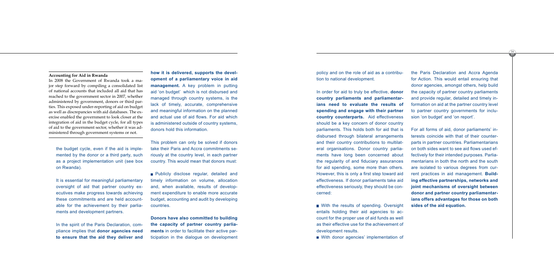policy and on the role of aid as a contribution to national development.

In order for aid to truly be effective, **donor country parliaments and parliamentarians need to evaluate the results of spending and engage with their partner country counterparts.** Aid effectiveness should be a key concern of donor country parliaments. This holds both for aid that is disbursed through bilateral arrangements and their country contributions to multilateral organisations. Donor country parliaments have long been concerned about the regularity of and fiduciary assurances for aid spending, some more than others. However, this is only a first step toward aid effectiveness. If donor parliaments take aid effectiveness seriously, they should be concerned:

With the results of spending. Oversight entails holding their aid agencies to account for the proper use of aid funds as well as their effective use for the achievement of development results.

With donor agencies' implementation of

the Paris Declaration and Accra Agenda for Action. This would entail ensuring that donor agencies, amongst others, help build the capacity of partner country parliaments and provide regular, detailed and timely information on aid at the partner country level to partner country governments for inclusion 'on budget' and 'on report'.

**Publicly disclose regular, detailed and** timely information on volume, allocation and, when available, results of development expenditure to enable more accurate budget, accounting and audit by developing countries.

For all forms of aid, donor parliaments' interests coincide with that of their counterparts in partner countries. Parliamentarians on both sides want to see aid flows used effectively for their intended purposes. Parliamentarians in both the north and the south are isolated to various degrees from current practices in aid management. **Building effective partnerships, networks and joint mechanisms of oversight between donor and partner country parliamentarians offers advantages for those on both sides of the aid equation.**

the budget cycle, even if the aid is implemented by the donor or a third party, such as a project implementation unit (see box on Rwanda).

37 36

It is essential for meaningful parliamentary oversight of aid that partner country executives make progress towards achieving these commitments and are held accountable for the achievement by their parliaments and development partners.

In the spirit of the Paris Declaration, compliance implies that **donor agencies need to ensure that the aid they deliver and**  **how it is delivered, supports the development of a parliamentary voice in aid management.** A key problem in putting aid 'on budget' which is not disbursed and managed through country systems, is the lack of timely, accurate, comprehensive and meaningful information on the planned and actual use of aid flows. For aid which is administered outside of country systems, donors hold this information.

This problem can only be solved if donors take their Paris and Accra commitments seriously at the country level, in each partner country. This would mean that donors must:

**Donors have also committed to building the capacity of partner country parliaments** in order to facilitate their active participation in the dialogue on development

### **Accounting for Aid in Rwanda**

In 2008 the Government of Rwanda took a major step forward by compiling a consolidated list of national accounts that included all aid that has reached to the government sector in 2007, whether administered by government, donors or third parties. This exposed under-reporting of aid on budget as well as discrepancies with aid databases. The exercise enabled the government to look closer at the integration of aid in the budget cycle, for all types of aid to the government sector, whether it was administered through government systems or not.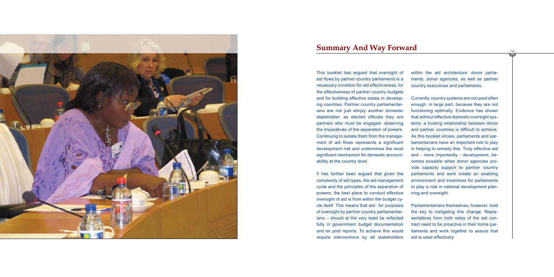![](_page_19_Picture_0.jpeg)

# **Summary And Way Forward**

This booklet has argued that oversight of aid flows by partner country parliaments is a necessary condition for aid effectiveness, for the effectiveness of partner country budgets and for building effective states in developing countries. Partner country parliamentarians are not just simply another domestic stakeholder: as elected officials they are partners who must be engaged- observing the imperatives of the separation of powers. Continuing to isolate them from the management of aid flows represents a significant development risk and undermines the most significant mechanism for domestic accountability at the country level.

It has further been argued that given the complexity of aid types, the aid management cycle and the principles of the separation of powers, the best place to conduct effective oversight of aid is from within the budget cycle itself. This means that aid– for purposes of oversight by partner country parliamentarians – should at the very least be reflected fully in government budget documentation and ex post reports. To achieve this would require interventions by all stakeholders within the aid architecture: donor parliaments, donor agencies, as well as partner country executives and parliaments.

Currently, country systems are not used often enough, in large part, because they are not functioning optimally. Evidence has shown that without effective domestic oversight systems, a trusting relationship between donor and partner countries is difficult to achieve. As this booklet shows, parliaments and parliamentarians have an important role to play in helping to remedy this. Truly effective aid and - more importantly - development, becomes possible when donor agencies provide capacity support to partner country parliaments and work create an enabling environment and incentives for parliaments to play a role in national development planning and oversight.

Parliamentarians themselves, however, hold the key to instigating this change. Representatives from both sides of the aid contract need to be proactive in their home parliaments and work together to assure that aid is used effectively.